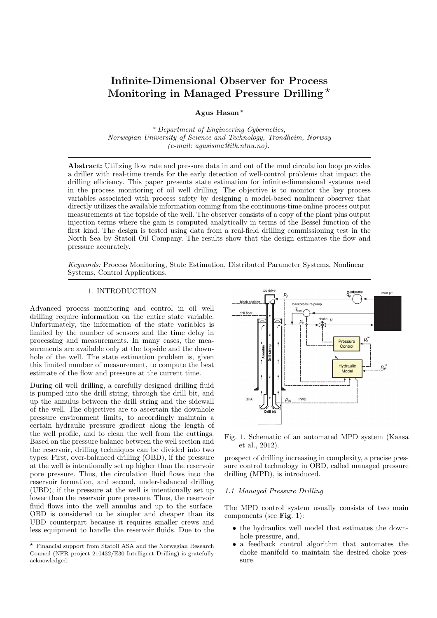# Infinite-Dimensional Observer for Process Monitoring in Managed Pressure Drilling  $\star$

Agus Hasan <sup>∗</sup>

<sup>∗</sup> Department of Engineering Cybernetics, Norwegian University of Science and Technology, Trondheim, Norway (e-mail: agusisma@itk.ntnu.no).

Abstract: Utilizing flow rate and pressure data in and out of the mud circulation loop provides a driller with real-time trends for the early detection of well-control problems that impact the drilling efficiency. This paper presents state estimation for infinite-dimensional systems used in the process monitoring of oil well drilling. The objective is to monitor the key process variables associated with process safety by designing a model-based nonlinear observer that directly utilizes the available information coming from the continuous-time online process output measurements at the topside of the well. The observer consists of a copy of the plant plus output injection terms where the gain is computed analytically in terms of the Bessel function of the first kind. The design is tested using data from a real-field drilling commissioning test in the North Sea by Statoil Oil Company. The results show that the design estimates the flow and pressure accurately.

Keywords: Process Monitoring, State Estimation, Distributed Parameter Systems, Nonlinear Systems, Control Applications.

# 1. INTRODUCTION

Advanced process monitoring and control in oil well drilling require information on the entire state variable. Unfortunately, the information of the state variables is limited by the number of sensors and the time delay in processing and measurements. In many cases, the measurements are available only at the topside and the downhole of the well. The state estimation problem is, given this limited number of measurement, to compute the best estimate of the flow and pressure at the current time.

During oil well drilling, a carefully designed drilling fluid is pumped into the drill string, through the drill bit, and up the annulus between the drill string and the sidewall of the well. The objectives are to ascertain the downhole pressure environment limits, to accordingly maintain a certain hydraulic pressure gradient along the length of the well profile, and to clean the well from the cuttings. Based on the pressure balance between the well section and the reservoir, drilling techniques can be divided into two types: First, over-balanced drilling (OBD), if the pressure at the well is intentionally set up higher than the reservoir pore pressure. Thus, the circulation fluid flows into the reservoir formation, and second, under-balanced drilling (UBD), if the pressure at the well is intentionally set up lower than the reservoir pore pressure. Thus, the reservoir fluid flows into the well annulus and up to the surface. OBD is considered to be simpler and cheaper than its UBD counterpart because it requires smaller crews and less equipment to handle the reservoir fluids. Due to the



Fig. 1. Schematic of an automated MPD system (Kaasa et al., 2012).

prospect of drilling increasing in complexity, a precise pressure control technology in OBD, called managed pressure drilling (MPD), is introduced.

## 1.1 Managed Pressure Drilling

The MPD control system usually consists of two main components (see Fig. 1):

- the hydraulics well model that estimates the downhole pressure, and,
- a feedback control algorithm that automates the choke manifold to maintain the desired choke pressure.

<sup>?</sup> Financial support from Statoil ASA and the Norwegian Research Council (NFR project 210432/E30 Intelligent Drilling) is gratefully acknowledged.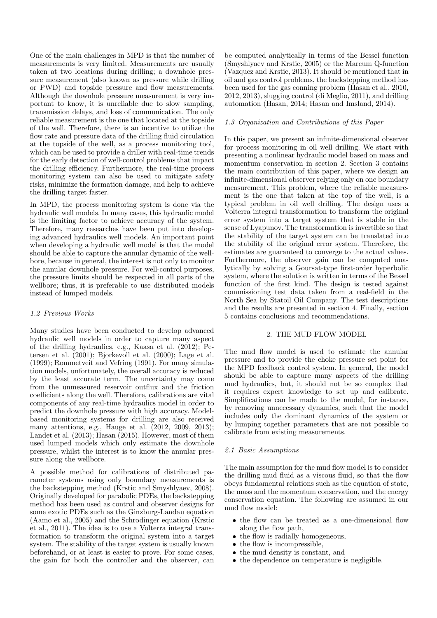One of the main challenges in MPD is that the number of measurements is very limited. Measurements are usually taken at two locations during drilling; a downhole pressure measurement (also known as pressure while drilling or PWD) and topside pressure and flow measurements. Although the downhole pressure measurement is very important to know, it is unreliable due to slow sampling, transmission delays, and loss of communication. The only reliable measurement is the one that located at the topside of the well. Therefore, there is an incentive to utilize the flow rate and pressure data of the drilling fluid circulation at the topside of the well, as a process monitoring tool, which can be used to provide a driller with real-time trends for the early detection of well-control problems that impact the drilling efficiency. Furthermore, the real-time process monitoring system can also be used to mitigate safety risks, minimize the formation damage, and help to achieve the drilling target faster.

In MPD, the process monitoring system is done via the hydraulic well models. In many cases, this hydraulic model is the limiting factor to achieve accuracy of the system. Therefore, many researches have been put into developing advanced hydraulics well models. An important point when developing a hydraulic well model is that the model should be able to capture the annular dynamic of the wellbore, because in general, the interest is not only to monitor the annular downhole pressure. For well-control purposes, the pressure limits should be respected in all parts of the wellbore; thus, it is preferable to use distributed models instead of lumped models.

#### 1.2 Previous Works

Many studies have been conducted to develop advanced hydraulic well models in order to capture many aspect of the drilling hydraulics, e.g., Kaasa et al. (2012); Petersen et al. (2001); Bjorkevoll et al. (2000); Lage et al. (1999); Rommetveit and Vefring (1991). For many simulation models, unfortunately, the overall accuracy is reduced by the least accurate term. The uncertainty may come from the unmeasured reservoir outflux and the friction coefficients along the well. Therefore, calibrations are vital components of any real-time hydraulics model in order to predict the downhole pressure with high accuracy. Modelbased monitoring systems for drilling are also received many attentions, e.g., Hauge et al. (2012, 2009, 2013); Landet et al. (2013); Hasan (2015). However, most of them used lumped models which only estimate the downhole pressure, whilst the interest is to know the annular pressure along the wellbore.

A possible method for calibrations of distributed parameter systems using only boundary measurements is the backstepping method (Krstic and Smyshlyaev, 2008). Originally developed for parabolic PDEs, the backstepping method has been used as control and observer designs for some exotic PDEs such as the Ginzburg-Landau equation (Aamo et al., 2005) and the Schrodinger equation (Krstic et al., 2011). The idea is to use a Volterra integral transformation to transform the original system into a target system. The stability of the target system is usually known beforehand, or at least is easier to prove. For some cases, the gain for both the controller and the observer, can

be computed analytically in terms of the Bessel function (Smyshlyaev and Krstic, 2005) or the Marcum Q-function (Vazquez and Krstic, 2013). It should be mentioned that in oil and gas control problems, the backstepping method has been used for the gas conning problem (Hasan et al., 2010, 2012, 2013), slugging control (di Meglio, 2011), and drilling automation (Hasan, 2014; Hasan and Imsland, 2014).

#### 1.3 Organization and Contributions of this Paper

In this paper, we present an infinite-dimensional observer for process monitoring in oil well drilling. We start with presenting a nonlinear hydraulic model based on mass and momentum conservation in section 2. Section 3 contains the main contribution of this paper, where we design an infinite-dimensional observer relying only on one boundary measurement. This problem, where the reliable measurement is the one that taken at the top of the well, is a typical problem in oil well drilling. The design uses a Volterra integral transformation to transform the original error system into a target system that is stable in the sense of Lyapunov. The transformation is invertible so that the stability of the target system can be translated into the stability of the original error system. Therefore, the estimates are guaranteed to converge to the actual values. Furthermore, the observer gain can be computed analytically by solving a Goursat-type first-order hyperbolic system, where the solution is written in terms of the Bessel function of the first kind. The design is tested against commissioning test data taken from a real-field in the North Sea by Statoil Oil Company. The test descriptions and the results are presented in section 4. Finally, section 5 contains conclusions and recommendations.

# 2. THE MUD FLOW MODEL

The mud flow model is used to estimate the annular pressure and to provide the choke pressure set point for the MPD feedback control system. In general, the model should be able to capture many aspects of the drilling mud hydraulics, but, it should not be so complex that it requires expert knowledge to set up and calibrate. Simplifications can be made to the model, for instance, by removing unnecessary dynamics, such that the model includes only the dominant dynamics of the system or by lumping together parameters that are not possible to calibrate from existing measurements.

#### 2.1 Basic Assumptions

The main assumption for the mud flow model is to consider the drilling mud fluid as a viscous fluid, so that the flow obeys fundamental relations such as the equation of state, the mass and the momentum conservation, and the energy conservation equation. The following are assumed in our mud flow model:

- the flow can be treated as a one-dimensional flow along the flow path,
- the flow is radially homogeneous,
- the flow is incompressible,
- the mud density is constant, and
- the dependence on temperature is negligible.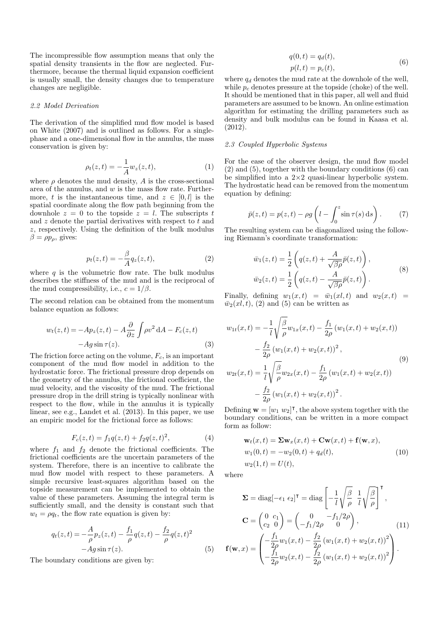The incompressible flow assumption means that only the spatial density transients in the flow are neglected. Furthermore, because the thermal liquid expansion coefficient is usually small, the density changes due to temperature changes are negligible.

#### 2.2 Model Derivation

The derivation of the simplified mud flow model is based on White (2007) and is outlined as follows. For a singlephase and a one-dimensional flow in the annulus, the mass conservation is given by:

$$
\rho_t(z,t) = -\frac{1}{A} w_z(z,t),
$$
\n(1)

where  $\rho$  denotes the mud density,  $A$  is the cross-sectional area of the annulus, and  $w$  is the mass flow rate. Furthermore, t is the instantaneous time, and  $z \in [0, l]$  is the spatial coordinate along the flow path beginning from the downhole  $z = 0$  to the topside  $z = l$ . The subscripts t and  $z$  denote the partial derivatives with respect to  $t$  and z, respectively. Using the definition of the bulk modulus  $\beta = \rho p_{\rho}$ , gives:

$$
p_t(z,t) = -\frac{\beta}{A}q_z(z,t),\tag{2}
$$

where  $q$  is the volumetric flow rate. The bulk modulus describes the stiffness of the mud and is the reciprocal of the mud compressibility, i.e.,  $c = 1/\beta$ .

The second relation can be obtained from the momentum balance equation as follows:

$$
w_t(z,t) = -Ap_z(z,t) - A\frac{\partial}{\partial z} \int \rho v^2 dA - F_c(z,t) -Ag \sin \tau(z).
$$
 (3)

The friction force acting on the volume,  $F_c$ , is an important component of the mud flow model in addition to the hydrostatic force. The frictional pressure drop depends on the geometry of the annulus, the frictional coefficient, the mud velocity, and the viscosity of the mud. The frictional pressure drop in the drill string is typically nonlinear with respect to the flow, while in the annulus it is typically linear, see e.g., Landet et al. (2013). In this paper, we use an empiric model for the frictional force as follows:

$$
F_c(z,t) = f_1 q(z,t) + f_2 q(z,t)^2,
$$
\n(4)

where  $f_1$  and  $f_2$  denote the frictional coefficients. The frictional coefficients are the uncertain parameters of the system. Therefore, there is an incentive to calibrate the mud flow model with respect to these parameters. A simple recursive least-squares algorithm based on the topside measurement can be implemented to obtain the value of these parameters. Assuming the integral term is sufficiently small, and the density is constant such that  $w_t = \rho q_t$ , the flow rate equation is given by:

$$
q_t(z,t) = -\frac{A}{\rho} p_z(z,t) - \frac{f_1}{\rho} q(z,t) - \frac{f_2}{\rho} q(z,t)^2 - Ag \sin \tau(z).
$$
 (5)

The boundary conditions are given by:

$$
q(0,t) = q_d(t),
$$
  
\n
$$
p(l,t) = p_c(t),
$$
\n(6)

where  $q_d$  denotes the mud rate at the downhole of the well, while  $p_c$  denotes pressure at the topside (choke) of the well. It should be mentioned that in this paper, all well and fluid parameters are assumed to be known. An online estimation algorithm for estimating the drilling parameters such as density and bulk modulus can be found in Kaasa et al. (2012).

## 2.3 Coupled Hyperbolic Systems

For the ease of the observer design, the mud flow model (2) and (5), together with the boundary conditions (6) can be simplified into a  $2\times 2$  quasi-linear hyperbolic system. The hydrostatic head can be removed from the momentum equation by defining:

$$
\bar{p}(z,t) = p(z,t) - \rho g \left( l - \int_0^z \sin \tau(s) \, \mathrm{d}s \right). \tag{7}
$$

The resulting system can be diagonalized using the following Riemann's coordinate transformation:

$$
\bar{w}_1(z,t) = \frac{1}{2} \left( q(z,t) + \frac{A}{\sqrt{\beta \rho}} \bar{p}(z,t) \right),
$$
  

$$
\bar{w}_2(z,t) = \frac{1}{2} \left( q(z,t) - \frac{A}{\sqrt{\beta \rho}} \bar{p}(z,t) \right).
$$
 (8)

Finally, defining  $w_1(x,t) = \bar{w}_1(x, t)$  and  $w_2(x,t) =$  $\bar{w}_2(xl, t)$ , (2) and (5) can be written as

$$
w_{1t}(x,t) = -\frac{1}{l} \sqrt{\frac{\beta}{\rho}} w_{1x}(x,t) - \frac{f_1}{2\rho} (w_1(x,t) + w_2(x,t))
$$
  

$$
- \frac{f_2}{2\rho} (w_1(x,t) + w_2(x,t))^2,
$$
  

$$
w_{2t}(x,t) = \frac{1}{l} \sqrt{\frac{\beta}{\rho}} w_{2x}(x,t) - \frac{f_1}{2\rho} (w_1(x,t) + w_2(x,t))
$$
  

$$
- \frac{f_2}{2\rho} (w_1(x,t) + w_2(x,t))^2.
$$
 (9)

Defining  $\mathbf{w} = [w_1 \ w_2]^{\mathsf{T}}$ , the above system together with the boundary conditions, can be written in a more compact form as follow:

$$
\mathbf{w}_t(x,t) = \mathbf{\Sigma} \mathbf{w}_x(x,t) + \mathbf{C} \mathbf{w}(x,t) + \mathbf{f}(\mathbf{w},x),
$$
  
\n
$$
w_1(0,t) = -w_2(0,t) + q_d(t),
$$
  
\n
$$
w_2(1,t) = U(t),
$$
\n(10)

where

$$
\Sigma = \text{diag}[-\epsilon_1 \epsilon_2]^\mathsf{T} = \text{diag}\left[-\frac{1}{l}\sqrt{\frac{\beta}{\rho}} \frac{1}{l}\sqrt{\frac{\beta}{\rho}}\right]^\mathsf{T},
$$
  

$$
\mathbf{C} = \begin{pmatrix} 0 & c_1 \\ c_2 & 0 \end{pmatrix} = \begin{pmatrix} 0 & -f_1/2\rho \\ -f_1/2\rho & 0 \end{pmatrix},
$$
  

$$
\mathbf{f}(\mathbf{w}, x) = \begin{pmatrix} -\frac{f_1}{2\rho}w_1(x, t) - \frac{f_2}{2\rho}(w_1(x, t) + w_2(x, t))^2 \\ -\frac{f_1}{2\rho}w_2(x, t) - \frac{f_2}{2\rho}(w_1(x, t) + w_2(x, t))^2 \end{pmatrix}.
$$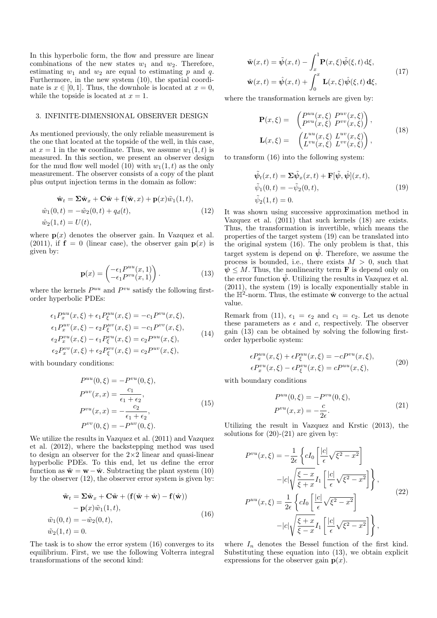In this hyperbolic form, the flow and pressure are linear combinations of the new states  $w_1$  and  $w_2$ . Therefore, estimating  $w_1$  and  $w_2$  are equal to estimating p and q. Furthermore, in the new system (10), the spatial coordinate is  $x \in [0, 1]$ . Thus, the downhole is located at  $x = 0$ , while the topside is located at  $x = 1$ .

## 3. INFINITE-DIMENSIONAL OBSERVER DESIGN

As mentioned previously, the only reliable measurement is the one that located at the topside of the well, in this case, at  $x = 1$  in the **w** coordinate. Thus, we assume  $w_1(1, t)$  is measured. In this section, we present an observer design for the mud flow well model (10) with  $w_1(1, t)$  as the only measurement. The observer consists of a copy of the plant plus output injection terms in the domain as follow:

$$
\begin{aligned}\n\hat{\mathbf{w}}_t &= \Sigma \hat{\mathbf{w}}_x + \mathbf{C} \hat{\mathbf{w}} + \mathbf{f}(\hat{\mathbf{w}}, x) + \mathbf{p}(x) \tilde{w}_1(1, t), \\
\hat{w}_1(0, t) &= -\hat{w}_2(0, t) + q_d(t), \\
\hat{w}_2(1, t) &= U(t),\n\end{aligned} \tag{12}
$$

where  $p(x)$  denotes the observer gain. In Vazquez et al. (2011), if  $f = 0$  (linear case), the observer gain  $p(x)$  is given by:

$$
\mathbf{p}(x) = \begin{pmatrix} -\epsilon_1 P^{uu}(x, 1) \\ -\epsilon_1 P^{vu}(x, 1) \end{pmatrix}.
$$
 (13)

where the kernels  $P^{uu}$  and  $P^{vu}$  satisfy the following firstorder hyperbolic PDEs:

$$
\epsilon_1 P_x^{uu}(x,\xi) + \epsilon_1 P_\xi^{uu}(x,\xi) = -c_1 P^{vu}(x,\xi), \n\epsilon_1 P_x^{uv}(x,\xi) - \epsilon_2 P_\xi^{uv}(x,\xi) = -c_1 P^{vv}(x,\xi), \n\epsilon_2 P_x^{vu}(x,\xi) - \epsilon_1 P_\xi^{vu}(x,\xi) = c_2 P^{uu}(x,\xi), \n\epsilon_2 P_x^{vv}(x,\xi) + \epsilon_2 P_\xi^{vv}(x,\xi) = c_2 P^{uv}(x,\xi),
$$
\n(14)

with boundary conditions:

$$
P^{uu}(0,\xi) = -P^{vu}(0,\xi),
$$
  
\n
$$
P^{uv}(x,x) = \frac{c_1}{\epsilon_1 + \epsilon_2},
$$
  
\n
$$
P^{vu}(x,x) = -\frac{c_2}{\epsilon_1 + \epsilon_2},
$$
  
\n
$$
P^{vv}(0,\xi) = -P^{uv}(0,\xi).
$$
\n(15)

We utilize the results in Vazquez et al.  $(2011)$  and Vazquez et al. (2012), where the backstepping method was used to design an observer for the  $2\times 2$  linear and quasi-linear hyperbolic PDEs. To this end, let us define the error function as  $\tilde{\mathbf{w}} = \mathbf{w} - \hat{\mathbf{w}}$ . Subtracting the plant system (10) by the observer (12), the observer error system is given by:

$$
\tilde{\mathbf{w}}_t = \Sigma \tilde{\mathbf{w}}_x + \mathbf{C}\tilde{\mathbf{w}} + (\mathbf{f}(\tilde{\mathbf{w}} + \hat{\mathbf{w}}) - \mathbf{f}(\hat{\mathbf{w}})) \n- \mathbf{p}(x)\tilde{w}_1(1, t), \n\tilde{w}_1(0, t) = -\tilde{w}_2(0, t), \n\tilde{w}_2(1, t) = 0.
$$
\n(16)

The task is to show the error system (16) converges to its equilibrium. First, we use the following Volterra integral transformations of the second kind:

$$
\tilde{\mathbf{w}}(x,t) = \tilde{\psi}(x,t) - \int_x^1 \mathbf{P}(x,\xi)\tilde{\psi}(\xi,t) d\xi,
$$
\n
$$
\hat{\mathbf{w}}(x,t) = \hat{\psi}(x,t) + \int_0^x \mathbf{L}(x,\xi)\hat{\psi}(\xi,t) d\xi,
$$
\n(17)

where the transformation kernels are given by:

$$
\mathbf{P}(x,\xi) = \begin{pmatrix} P^{uu}(x,\xi) & P^{uv}(x,\xi) \\ P^{vu}(x,\xi) & P^{vv}(x,\xi) \end{pmatrix},
$$
  

$$
\mathbf{L}(x,\xi) = \begin{pmatrix} L^{uu}(x,\xi) & L^{uv}(x,\xi) \\ L^{vu}(x,\xi) & L^{vv}(x,\xi) \end{pmatrix},
$$
 (18)

to transform (16) into the following system:

$$
\tilde{\psi}_t(x,t) = \Sigma \tilde{\psi}_x(x,t) + \mathbf{F}[\tilde{\psi}, \hat{\psi}](x,t),
$$
  
\n
$$
\tilde{\psi}_1(0,t) = -\tilde{\psi}_2(0,t),
$$
  
\n
$$
\tilde{\psi}_2(1,t) = 0.
$$
\n(19)

It was shown using successive approximation method in Vazquez et al. (2011) that such kernels (18) are exists. Thus, the transformation is invertible, which means the properties of the target system (19) can be translated into the original system (16). The only problem is that, this target system is depend on  $\hat{\psi}$ . Therefore, we assume the process is bounded, i.e., there exists  $M > 0$ , such that  $\psi \leq M$ . Thus, the nonlinearity term **F** is depend only on the error function  $\tilde{\psi}$ . Utilizing the results in Vazquez et al. (2011), the system (19) is locally exponentially stable in the  $\mathbb{H}^2$ -norm. Thus, the estimate  $\hat{\mathbf{w}}$  converge to the actual value.

Remark from (11),  $\epsilon_1 = \epsilon_2$  and  $c_1 = c_2$ . Let us denote these parameters as  $\epsilon$  and c, respectively. The observer gain (13) can be obtained by solving the following firstorder hyperbolic system:

$$
\epsilon P_x^{uu}(x,\xi) + \epsilon P_\xi^{uu}(x,\xi) = -cP^{vu}(x,\xi),
$$
  
\n
$$
\epsilon P_x^{vu}(x,\xi) - \epsilon P_\xi^{vu}(x,\xi) = cP^{uu}(x,\xi),
$$
\n(20)

with boundary conditions

$$
P^{uu}(0,\xi) = -P^{vu}(0,\xi),
$$
  
\n
$$
P^{vu}(x,x) = -\frac{c}{2\epsilon}.
$$
\n(21)

Utilizing the result in Vazquez and Krstic (2013), the solutions for  $(20)-(21)$  are given by:

$$
P^{vu}(x,\xi) = -\frac{1}{2\epsilon} \left\{ cI_0 \left[ \frac{|c|}{\epsilon} \sqrt{\xi^2 - x^2} \right] - |c| \sqrt{\frac{\xi - x}{\xi + x}} I_1 \left[ \frac{|c|}{\epsilon} \sqrt{\xi^2 - x^2} \right] \right\},
$$
  
\n
$$
P^{uu}(x,\xi) = \frac{1}{2\epsilon} \left\{ cI_0 \left[ \frac{|c|}{\epsilon} \sqrt{\xi^2 - x^2} \right] - |c| \sqrt{\frac{\xi + x}{\xi - x}} I_1 \left[ \frac{|c|}{\epsilon} \sqrt{\xi^2 - x^2} \right] \right\},
$$
\n(22)

where  $I_n$  denotes the Bessel function of the first kind. Substituting these equation into (13), we obtain explicit expressions for the observer gain  $p(x)$ .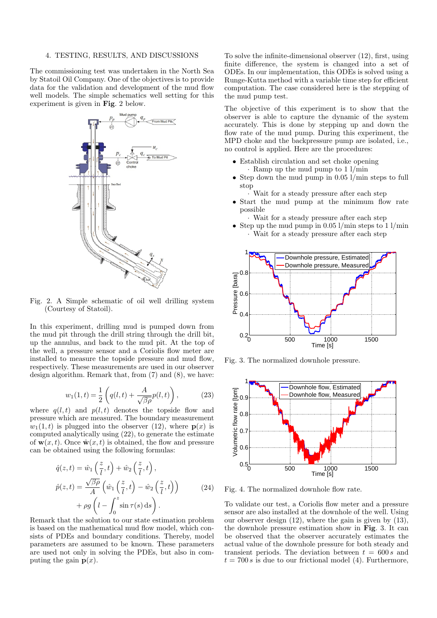#### 4. TESTING, RESULTS, AND DISCUSSIONS

The commissioning test was undertaken in the North Sea by Statoil Oil Company. One of the objectives is to provide data for the validation and development of the mud flow well models. The simple schematics well setting for this experiment is given in Fig. 2 below.



Fig. 2. A Simple schematic of oil well drilling system (Courtesy of Statoil).

In this experiment, drilling mud is pumped down from the mud pit through the drill string through the drill bit, up the annulus, and back to the mud pit. At the top of the well, a pressure sensor and a Coriolis flow meter are installed to measure the topside pressure and mud flow, respectively. These measurements are used in our observer design algorithm. Remark that, from (7) and (8), we have:

$$
w_1(1,t) = \frac{1}{2} \left( q(l,t) + \frac{A}{\sqrt{\beta \rho}} p(l,t) \right),
$$
 (23)

where  $q(l, t)$  and  $p(l, t)$  denotes the topside flow and pressure which are measured. The boundary measurement  $w_1(1, t)$  is plugged into the observer (12), where  $p(x)$  is computed analytically using (22), to generate the estimate of  $\mathbf{w}(x, t)$ . Once  $\hat{\mathbf{w}}(x, t)$  is obtained, the flow and pressure can be obtained using the following formulas:

$$
\hat{q}(z,t) = \hat{w}_1\left(\frac{z}{l},t\right) + \hat{w}_2\left(\frac{z}{l},t\right),
$$
\n
$$
\hat{p}(z,t) = \frac{\sqrt{\beta \rho}}{A} \left(\hat{w}_1\left(\frac{z}{l},t\right) - \hat{w}_2\left(\frac{z}{l},t\right)\right) + \rho g \left(l - \int_0^z \sin \tau(s) \,ds\right).
$$
\n(24)

Remark that the solution to our state estimation problem is based on the mathematical mud flow model, which consists of PDEs and boundary conditions. Thereby, model parameters are assumed to be known. These parameters are used not only in solving the PDEs, but also in computing the gain  $p(x)$ .

To solve the infinite-dimensional observer (12), first, using finite difference, the system is changed into a set of ODEs. In our implementation, this ODEs is solved using a Runge-Kutta method with a variable time step for efficient computation. The case considered here is the stepping of the mud pump test.

The objective of this experiment is to show that the observer is able to capture the dynamic of the system accurately. This is done by stepping up and down the flow rate of the mud pump. During this experiment, the MPD choke and the backpressure pump are isolated, i.e., no control is applied. Here are the procedures:

- Establish circulation and set choke opening · Ramp up the mud pump to 1 l/min
- Step down the mud pump in 0.05 l/min steps to full stop
	- · Wait for a steady pressure after each step
- Start the mud pump at the minimum flow rate possible
- · Wait for a steady pressure after each step
- Step up the mud pump in  $0.05$  l/min steps to  $1$  l/min · Wait for a steady pressure after each step



Fig. 3. The normalized downhole pressure.



Fig. 4. The normalized downhole flow rate.

To validate our test, a Coriolis flow meter and a pressure sensor are also installed at the downhole of the well. Using our observer design (12), where the gain is given by (13), the downhole pressure estimation show in Fig. 3. It can be observed that the observer accurately estimates the actual value of the downhole pressure for both steady and transient periods. The deviation between  $t = 600 s$  and  $t = 700 s$  is due to our frictional model (4). Furthermore,